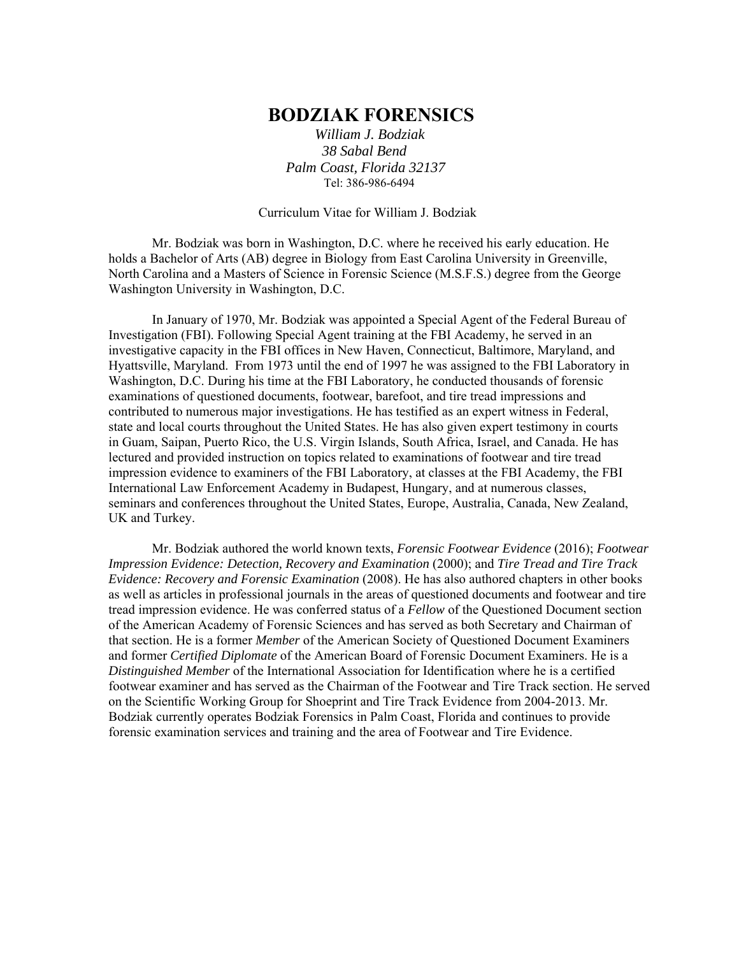# **BODZIAK FORENSICS**

 *William J. Bodziak 38 Sabal Bend Palm Coast, Florida 32137*  Tel: 386-986-6494

Curriculum Vitae for William J. Bodziak

 Mr. Bodziak was born in Washington, D.C. where he received his early education. He holds a Bachelor of Arts (AB) degree in Biology from East Carolina University in Greenville, North Carolina and a Masters of Science in Forensic Science (M.S.F.S.) degree from the George Washington University in Washington, D.C.

 In January of 1970, Mr. Bodziak was appointed a Special Agent of the Federal Bureau of Investigation (FBI). Following Special Agent training at the FBI Academy, he served in an investigative capacity in the FBI offices in New Haven, Connecticut, Baltimore, Maryland, and Hyattsville, Maryland. From 1973 until the end of 1997 he was assigned to the FBI Laboratory in Washington, D.C. During his time at the FBI Laboratory, he conducted thousands of forensic examinations of questioned documents, footwear, barefoot, and tire tread impressions and contributed to numerous major investigations. He has testified as an expert witness in Federal, state and local courts throughout the United States. He has also given expert testimony in courts in Guam, Saipan, Puerto Rico, the U.S. Virgin Islands, South Africa, Israel, and Canada. He has lectured and provided instruction on topics related to examinations of footwear and tire tread impression evidence to examiners of the FBI Laboratory, at classes at the FBI Academy, the FBI International Law Enforcement Academy in Budapest, Hungary, and at numerous classes, seminars and conferences throughout the United States, Europe, Australia, Canada, New Zealand, UK and Turkey.

 Mr. Bodziak authored the world known texts, *Forensic Footwear Evidence* (2016); *Footwear Impression Evidence: Detection, Recovery and Examination* (2000); and *Tire Tread and Tire Track Evidence: Recovery and Forensic Examination* (2008). He has also authored chapters in other books as well as articles in professional journals in the areas of questioned documents and footwear and tire tread impression evidence. He was conferred status of a *Fellow* of the Questioned Document section of the American Academy of Forensic Sciences and has served as both Secretary and Chairman of that section. He is a former *Member* of the American Society of Questioned Document Examiners and former *Certified Diplomate* of the American Board of Forensic Document Examiners. He is a *Distinguished Member* of the International Association for Identification where he is a certified footwear examiner and has served as the Chairman of the Footwear and Tire Track section. He served on the Scientific Working Group for Shoeprint and Tire Track Evidence from 2004-2013. Mr. Bodziak currently operates Bodziak Forensics in Palm Coast, Florida and continues to provide forensic examination services and training and the area of Footwear and Tire Evidence.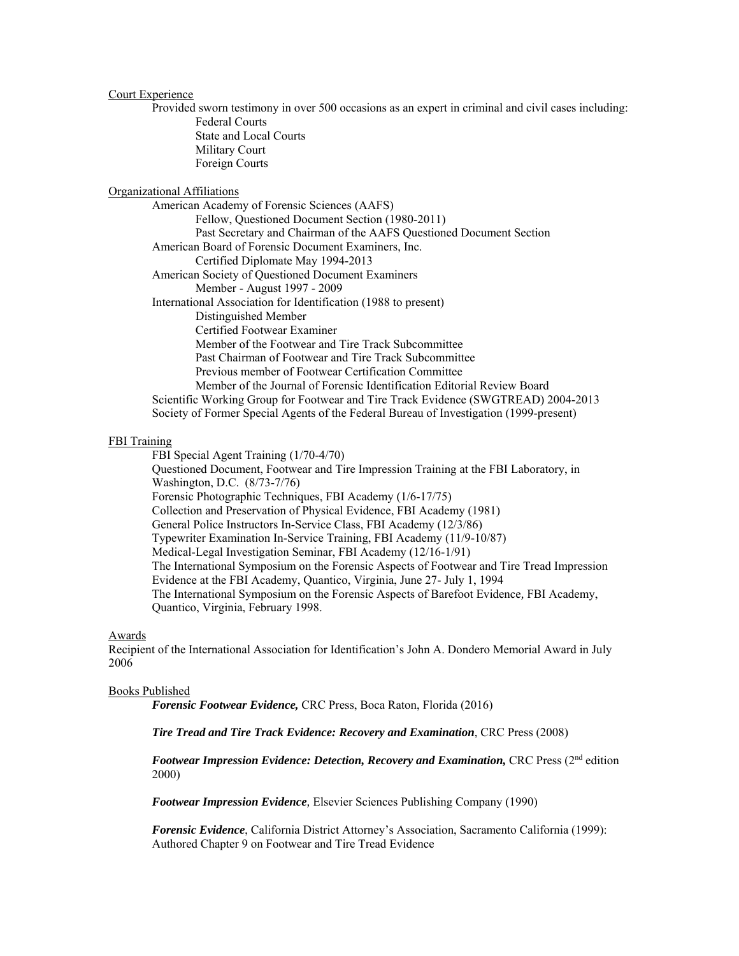# Court Experience

Provided sworn testimony in over 500 occasions as an expert in criminal and civil cases including: Federal Courts State and Local Courts Military Court Foreign Courts

# Organizational Affiliations

 American Academy of Forensic Sciences (AAFS) Fellow, Questioned Document Section (1980-2011) Past Secretary and Chairman of the AAFS Questioned Document Section American Board of Forensic Document Examiners, Inc. Certified Diplomate May 1994-2013 American Society of Questioned Document Examiners Member - August 1997 - 2009 International Association for Identification (1988 to present) Distinguished Member Certified Footwear Examiner Member of the Footwear and Tire Track Subcommittee Past Chairman of Footwear and Tire Track Subcommittee Previous member of Footwear Certification Committee Member of the Journal of Forensic Identification Editorial Review Board Scientific Working Group for Footwear and Tire Track Evidence (SWGTREAD) 2004-2013 Society of Former Special Agents of the Federal Bureau of Investigation (1999-present)

## FBI Training

 FBI Special Agent Training (1/70-4/70) Questioned Document, Footwear and Tire Impression Training at the FBI Laboratory, in Washington, D.C. (8/73-7/76) Forensic Photographic Techniques, FBI Academy (1/6-17/75) Collection and Preservation of Physical Evidence, FBI Academy (1981) General Police Instructors In-Service Class, FBI Academy (12/3/86) Typewriter Examination In-Service Training, FBI Academy (11/9-10/87) Medical-Legal Investigation Seminar, FBI Academy (12/16-1/91) The International Symposium on the Forensic Aspects of Footwear and Tire Tread Impression Evidence at the FBI Academy, Quantico, Virginia, June 27- July 1, 1994 The International Symposium on the Forensic Aspects of Barefoot Evidence*,* FBI Academy, Quantico, Virginia, February 1998.

## Awards

Recipient of the International Association for Identification's John A. Dondero Memorial Award in July 2006

#### Books Published

*Forensic Footwear Evidence,* CRC Press, Boca Raton, Florida (2016)

*Tire Tread and Tire Track Evidence: Recovery and Examination*, CRC Press (2008)

*Footwear Impression Evidence: Detection, Recovery and Examination,* CRC Press (2nd edition 2000)

*Footwear Impression Evidence,* Elsevier Sciences Publishing Company (1990)

*Forensic Evidence*, California District Attorney's Association, Sacramento California (1999): Authored Chapter 9 on Footwear and Tire Tread Evidence